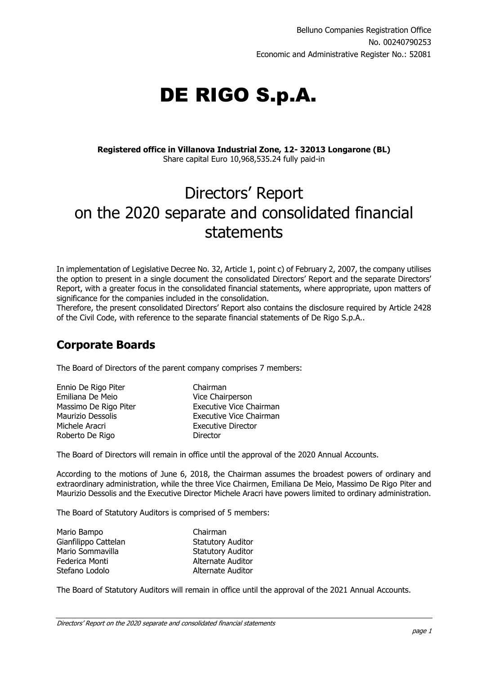# DE RIGO S.p.A.

**Registered office in Villanova Industrial Zone, 12- 32013 Longarone (BL)** Share capital Euro 10,968,535.24 fully paid-in

# Directors' Report on the 2020 separate and consolidated financial statements

In implementation of Legislative Decree No. 32, Article 1, point c) of February 2, 2007, the company utilises the option to present in a single document the consolidated Directors' Report and the separate Directors' Report, with a greater focus in the consolidated financial statements, where appropriate, upon matters of significance for the companies included in the consolidation.

Therefore, the present consolidated Directors' Report also contains the disclosure required by Article 2428 of the Civil Code, with reference to the separate financial statements of De Rigo S.p.A..

# **Corporate Boards**

The Board of Directors of the parent company comprises 7 members:

| Ennio De Rigo Piter   |
|-----------------------|
| Emiliana De Meio      |
| Massimo De Rigo Piter |
| Maurizio Dessolis     |
| Michele Aracri        |
| Roberto De Rigo       |

Chairman Vice Chairperson **Executive Vice Chairman** Executive Vice Chairman Executive Director Director

The Board of Directors will remain in office until the approval of the 2020 Annual Accounts.

According to the motions of June 6, 2018, the Chairman assumes the broadest powers of ordinary and extraordinary administration, while the three Vice Chairmen, Emiliana De Meio, Massimo De Rigo Piter and Maurizio Dessolis and the Executive Director Michele Aracri have powers limited to ordinary administration.

The Board of Statutory Auditors is comprised of 5 members:

| Mario Bampo          | Chairman                 |
|----------------------|--------------------------|
| Gianfilippo Cattelan | <b>Statutory Auditor</b> |
| Mario Sommavilla     | <b>Statutory Auditor</b> |
| Federica Monti       | Alternate Auditor        |
| Stefano Lodolo       | Alternate Auditor        |

The Board of Statutory Auditors will remain in office until the approval of the 2021 Annual Accounts.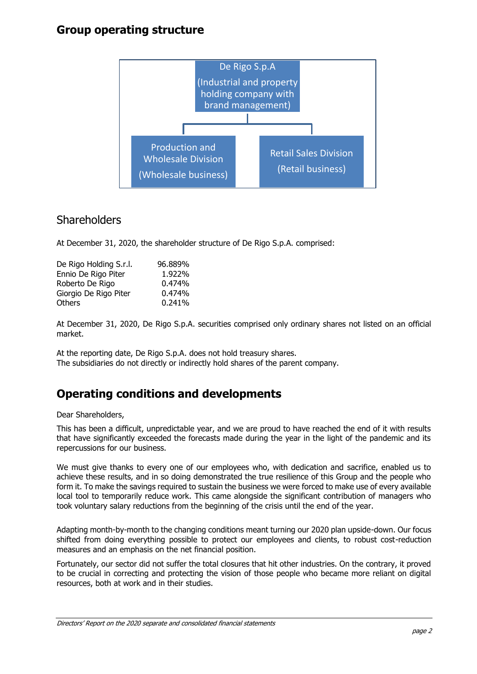# **Group operating structure**



## **Shareholders**

At December 31, 2020, the shareholder structure of De Rigo S.p.A. comprised:

| 96.889% |
|---------|
| 1.922%  |
| 0.474%  |
| 0.474%  |
| 0.241%  |
|         |

At December 31, 2020, De Rigo S.p.A. securities comprised only ordinary shares not listed on an official market.

At the reporting date, De Rigo S.p.A. does not hold treasury shares. The subsidiaries do not directly or indirectly hold shares of the parent company.

# **Operating conditions and developments**

#### Dear Shareholders,

This has been a difficult, unpredictable year, and we are proud to have reached the end of it with results that have significantly exceeded the forecasts made during the year in the light of the pandemic and its repercussions for our business.

We must give thanks to every one of our employees who, with dedication and sacrifice, enabled us to achieve these results, and in so doing demonstrated the true resilience of this Group and the people who form it. To make the savings required to sustain the business we were forced to make use of every available local tool to temporarily reduce work. This came alongside the significant contribution of managers who took voluntary salary reductions from the beginning of the crisis until the end of the year.

Adapting month-by-month to the changing conditions meant turning our 2020 plan upside-down. Our focus shifted from doing everything possible to protect our employees and clients, to robust cost-reduction measures and an emphasis on the net financial position.

Fortunately, our sector did not suffer the total closures that hit other industries. On the contrary, it proved to be crucial in correcting and protecting the vision of those people who became more reliant on digital resources, both at work and in their studies.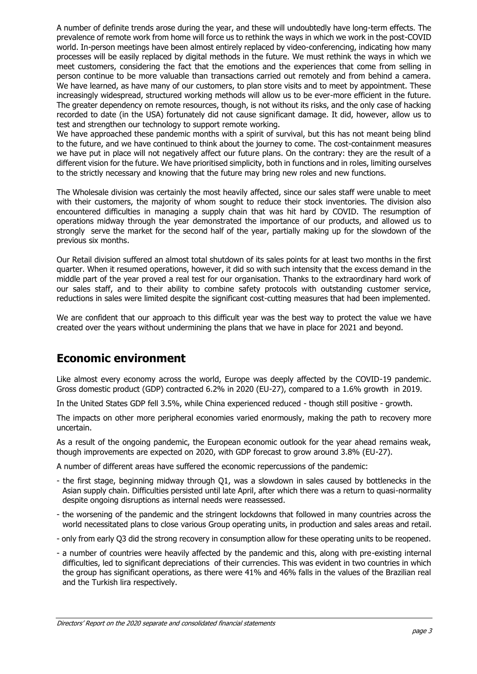A number of definite trends arose during the year, and these will undoubtedly have long-term effects. The prevalence of remote work from home will force us to rethink the ways in which we work in the post-COVID world. In-person meetings have been almost entirely replaced by video-conferencing, indicating how many processes will be easily replaced by digital methods in the future. We must rethink the ways in which we meet customers, considering the fact that the emotions and the experiences that come from selling in person continue to be more valuable than transactions carried out remotely and from behind a camera. We have learned, as have many of our customers, to plan store visits and to meet by appointment. These increasingly widespread, structured working methods will allow us to be ever-more efficient in the future. The greater dependency on remote resources, though, is not without its risks, and the only case of hacking recorded to date (in the USA) fortunately did not cause significant damage. It did, however, allow us to test and strengthen our technology to support remote working.

We have approached these pandemic months with a spirit of survival, but this has not meant being blind to the future, and we have continued to think about the journey to come. The cost-containment measures we have put in place will not negatively affect our future plans. On the contrary: they are the result of a different vision for the future. We have prioritised simplicity, both in functions and in roles, limiting ourselves to the strictly necessary and knowing that the future may bring new roles and new functions.

The Wholesale division was certainly the most heavily affected, since our sales staff were unable to meet with their customers, the majority of whom sought to reduce their stock inventories. The division also encountered difficulties in managing a supply chain that was hit hard by COVID. The resumption of operations midway through the year demonstrated the importance of our products, and allowed us to strongly serve the market for the second half of the year, partially making up for the slowdown of the previous six months.

Our Retail division suffered an almost total shutdown of its sales points for at least two months in the first quarter. When it resumed operations, however, it did so with such intensity that the excess demand in the middle part of the year proved a real test for our organisation. Thanks to the extraordinary hard work of our sales staff, and to their ability to combine safety protocols with outstanding customer service, reductions in sales were limited despite the significant cost-cutting measures that had been implemented.

We are confident that our approach to this difficult year was the best way to protect the value we have created over the years without undermining the plans that we have in place for 2021 and beyond.

# **Economic environment**

Like almost every economy across the world, Europe was deeply affected by the COVID-19 pandemic. Gross domestic product (GDP) contracted 6.2% in 2020 (EU-27), compared to a 1.6% growth in 2019.

In the United States GDP fell 3.5%, while China experienced reduced - though still positive - growth.

The impacts on other more peripheral economies varied enormously, making the path to recovery more uncertain.

As a result of the ongoing pandemic, the European economic outlook for the year ahead remains weak, though improvements are expected on 2020, with GDP forecast to grow around 3.8% (EU-27).

A number of different areas have suffered the economic repercussions of the pandemic:

- the first stage, beginning midway through Q1, was a slowdown in sales caused by bottlenecks in the Asian supply chain. Difficulties persisted until late April, after which there was a return to quasi-normality despite ongoing disruptions as internal needs were reassessed.
- the worsening of the pandemic and the stringent lockdowns that followed in many countries across the world necessitated plans to close various Group operating units, in production and sales areas and retail.
- only from early Q3 did the strong recovery in consumption allow for these operating units to be reopened.
- a number of countries were heavily affected by the pandemic and this, along with pre-existing internal difficulties, led to significant depreciations of their currencies. This was evident in two countries in which the group has significant operations, as there were 41% and 46% falls in the values of the Brazilian real and the Turkish lira respectively.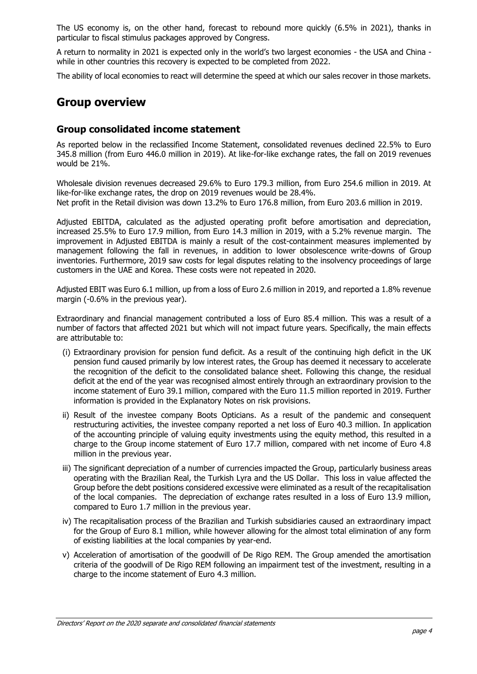The US economy is, on the other hand, forecast to rebound more quickly (6.5% in 2021), thanks in particular to fiscal stimulus packages approved by Congress.

A return to normality in 2021 is expected only in the world's two largest economies - the USA and China while in other countries this recovery is expected to be completed from 2022.

The ability of local economies to react will determine the speed at which our sales recover in those markets.

## **Group overview**

#### **Group consolidated income statement**

As reported below in the reclassified Income Statement, consolidated revenues declined 22.5% to Euro 345.8 million (from Euro 446.0 million in 2019). At like-for-like exchange rates, the fall on 2019 revenues would be 21%.

Wholesale division revenues decreased 29.6% to Euro 179.3 million, from Euro 254.6 million in 2019. At like-for-like exchange rates, the drop on 2019 revenues would be 28.4%. Net profit in the Retail division was down 13.2% to Euro 176.8 million, from Euro 203.6 million in 2019.

Adjusted EBITDA, calculated as the adjusted operating profit before amortisation and depreciation, increased 25.5% to Euro 17.9 million, from Euro 14.3 million in 2019, with a 5.2% revenue margin. The improvement in Adjusted EBITDA is mainly a result of the cost-containment measures implemented by management following the fall in revenues, in addition to lower obsolescence write-downs of Group inventories. Furthermore, 2019 saw costs for legal disputes relating to the insolvency proceedings of large customers in the UAE and Korea. These costs were not repeated in 2020.

Adjusted EBIT was Euro 6.1 million, up from a loss of Euro 2.6 million in 2019, and reported a 1.8% revenue margin (-0.6% in the previous year).

Extraordinary and financial management contributed a loss of Euro 85.4 million. This was a result of a number of factors that affected 2021 but which will not impact future years. Specifically, the main effects are attributable to:

- (i) Extraordinary provision for pension fund deficit. As a result of the continuing high deficit in the UK pension fund caused primarily by low interest rates, the Group has deemed it necessary to accelerate the recognition of the deficit to the consolidated balance sheet. Following this change, the residual deficit at the end of the year was recognised almost entirely through an extraordinary provision to the income statement of Euro 39.1 million, compared with the Euro 11.5 million reported in 2019. Further information is provided in the Explanatory Notes on risk provisions.
- ii) Result of the investee company Boots Opticians. As a result of the pandemic and consequent restructuring activities, the investee company reported a net loss of Euro 40.3 million. In application of the accounting principle of valuing equity investments using the equity method, this resulted in a charge to the Group income statement of Euro 17.7 million, compared with net income of Euro 4.8 million in the previous year.
- iii) The significant depreciation of a number of currencies impacted the Group, particularly business areas operating with the Brazilian Real, the Turkish Lyra and the US Dollar. This loss in value affected the Group before the debt positions considered excessive were eliminated as a result of the recapitalisation of the local companies. The depreciation of exchange rates resulted in a loss of Euro 13.9 million, compared to Euro 1.7 million in the previous year.
- iv) The recapitalisation process of the Brazilian and Turkish subsidiaries caused an extraordinary impact for the Group of Euro 8.1 million, while however allowing for the almost total elimination of any form of existing liabilities at the local companies by year-end.
- v) Acceleration of amortisation of the goodwill of De Rigo REM. The Group amended the amortisation criteria of the goodwill of De Rigo REM following an impairment test of the investment, resulting in a charge to the income statement of Euro 4.3 million.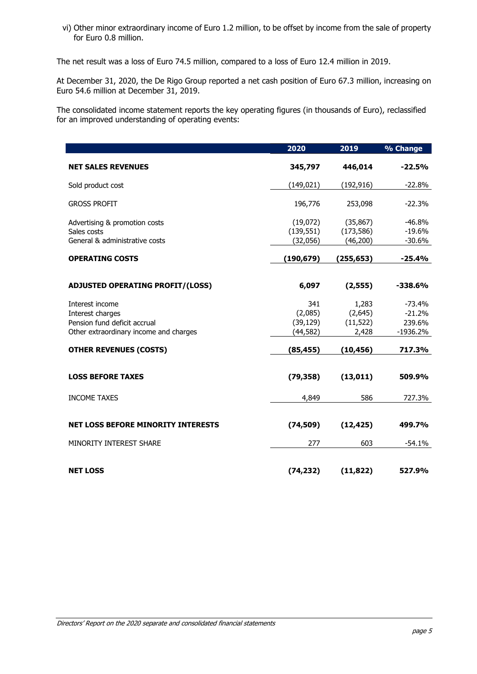vi) Other minor extraordinary income of Euro 1.2 million, to be offset by income from the sale of property for Euro 0.8 million.

The net result was a loss of Euro 74.5 million, compared to a loss of Euro 12.4 million in 2019.

At December 31, 2020, the De Rigo Group reported a net cash position of Euro 67.3 million, increasing on Euro 54.6 million at December 31, 2019.

The consolidated income statement reports the key operating figures (in thousands of Euro), reclassified for an improved understanding of operating events:

|                                                                                                               | 2020                                     | 2019                                   | % Change                                     |
|---------------------------------------------------------------------------------------------------------------|------------------------------------------|----------------------------------------|----------------------------------------------|
| <b>NET SALES REVENUES</b>                                                                                     | 345,797                                  | 446,014                                | $-22.5%$                                     |
| Sold product cost                                                                                             | (149, 021)                               | (192, 916)                             | $-22.8%$                                     |
| <b>GROSS PROFIT</b>                                                                                           | 196,776                                  | 253,098                                | $-22.3%$                                     |
| Advertising & promotion costs<br>Sales costs<br>General & administrative costs                                | (19,072)<br>(139, 551)<br>(32,056)       | (35, 867)<br>(173, 586)<br>(46, 200)   | $-46.8%$<br>$-19.6%$<br>$-30.6%$             |
| <b>OPERATING COSTS</b>                                                                                        | (190, 679)                               | (255, 653)                             | $-25.4%$                                     |
| <b>ADJUSTED OPERATING PROFIT/(LOSS)</b>                                                                       | 6,097                                    | (2, 555)                               | $-338.6%$                                    |
| Interest income<br>Interest charges<br>Pension fund deficit accrual<br>Other extraordinary income and charges | 341<br>(2,085)<br>(39, 129)<br>(44, 582) | 1,283<br>(2,645)<br>(11, 522)<br>2,428 | $-73.4%$<br>$-21.2%$<br>239.6%<br>$-1936.2%$ |
| <b>OTHER REVENUES (COSTS)</b>                                                                                 | (85, 455)                                | (10,456)                               | 717.3%                                       |
| <b>LOSS BEFORE TAXES</b>                                                                                      | (79, 358)                                | (13, 011)                              | 509.9%                                       |
| <b>INCOME TAXES</b>                                                                                           | 4,849                                    | 586                                    | 727.3%                                       |
| <b>NET LOSS BEFORE MINORITY INTERESTS</b>                                                                     | (74, 509)                                | (12, 425)                              | 499.7%                                       |
| MINORITY INTEREST SHARE                                                                                       | 277                                      | 603                                    | $-54.1%$                                     |
| <b>NET LOSS</b>                                                                                               | (74, 232)                                | (11, 822)                              | 527.9%                                       |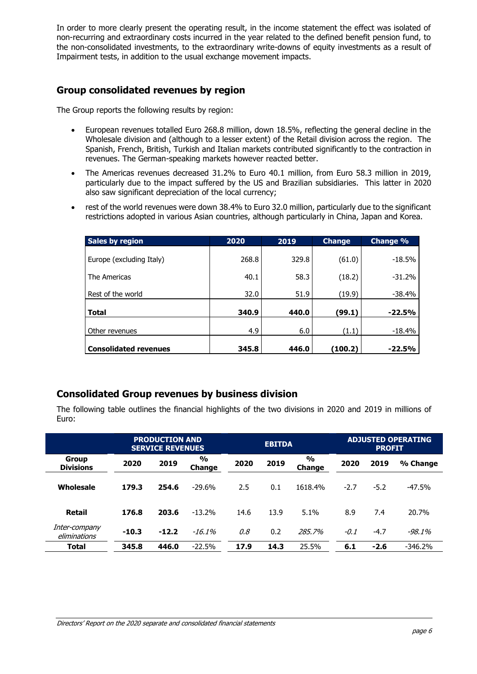In order to more clearly present the operating result, in the income statement the effect was isolated of non-recurring and extraordinary costs incurred in the year related to the defined benefit pension fund, to the non-consolidated investments, to the extraordinary write-downs of equity investments as a result of Impairment tests, in addition to the usual exchange movement impacts.

## **Group consolidated revenues by region**

The Group reports the following results by region:

- European revenues totalled Euro 268.8 million, down 18.5%, reflecting the general decline in the Wholesale division and (although to a lesser extent) of the Retail division across the region. The Spanish, French, British, Turkish and Italian markets contributed significantly to the contraction in revenues. The German-speaking markets however reacted better.
- The Americas revenues decreased 31.2% to Euro 40.1 million, from Euro 58.3 million in 2019, particularly due to the impact suffered by the US and Brazilian subsidiaries. This latter in 2020 also saw significant depreciation of the local currency;
- rest of the world revenues were down 38.4% to Euro 32.0 million, particularly due to the significant restrictions adopted in various Asian countries, although particularly in China, Japan and Korea.

| <b>Sales by region</b>       | 2020  | 2019  | <b>Change</b> | Change % |
|------------------------------|-------|-------|---------------|----------|
| Europe (excluding Italy)     | 268.8 | 329.8 | (61.0)        | $-18.5%$ |
| The Americas                 | 40.1  | 58.3  | (18.2)        | $-31.2%$ |
| Rest of the world            | 32.0  | 51.9  | (19.9)        | -38.4%   |
| <b>Total</b>                 | 340.9 | 440.0 | (99.1)        | $-22.5%$ |
| Other revenues               | 4.9   | 6.0   | (1.1)         | $-18.4%$ |
| <b>Consolidated revenues</b> | 345.8 | 446.0 | (100.2)       | $-22.5%$ |

#### **Consolidated Group revenues by business division**

The following table outlines the financial highlights of the two divisions in 2020 and 2019 in millions of Euro:

|                                  |         | <b>PRODUCTION AND</b><br><b>SERVICE REVENUES</b> |                         |      | <b>EBITDA</b> |                         |        | <b>PROFIT</b> | <b>ADJUSTED OPERATING</b> |
|----------------------------------|---------|--------------------------------------------------|-------------------------|------|---------------|-------------------------|--------|---------------|---------------------------|
| <b>Group</b><br><b>Divisions</b> | 2020    | 2019                                             | $\frac{6}{9}$<br>Change | 2020 | 2019          | $\frac{1}{2}$<br>Change | 2020   | 2019          | % Change                  |
| Wholesale                        | 179.3   | 254.6                                            | $-29.6%$                | 2.5  | 0.1           | 1618.4%                 | $-2.7$ | $-5.2$        | $-47.5%$                  |
| Retail                           | 176.8   | 203.6                                            | $-13.2%$                | 14.6 | 13.9          | 5.1%                    | 8.9    | 7.4           | 20.7%                     |
| Inter-company<br>eliminations    | $-10.3$ | $-12.2$                                          | $-16.1\%$               | 0.8  | 0.2           | 285.7%                  | $-0.1$ | $-4.7$        | $-98.1%$                  |
| <b>Total</b>                     | 345.8   | 446.0                                            | $-22.5%$                | 17.9 | 14.3          | 25.5%                   | 6.1    | $-2.6$        | $-346.2%$                 |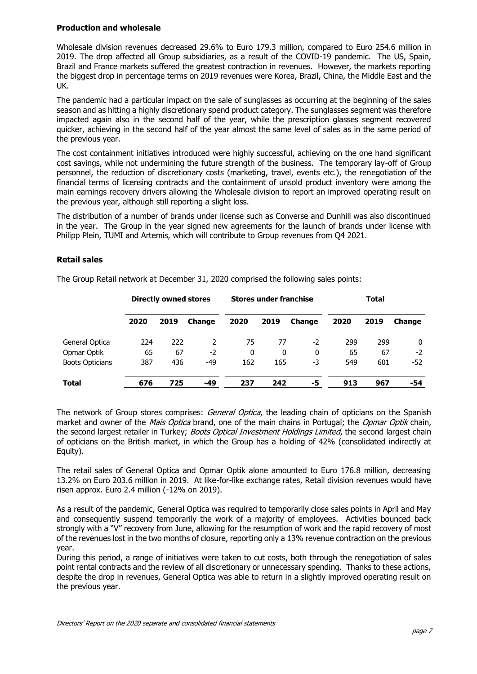#### **Production and wholesale**

Wholesale division revenues decreased 29.6% to Euro 179.3 million, compared to Euro 254.6 million in 2019. The drop affected all Group subsidiaries, as a result of the COVID-19 pandemic. The US, Spain, Brazil and France markets suffered the greatest contraction in revenues. However, the markets reporting the biggest drop in percentage terms on 2019 revenues were Korea, Brazil, China, the Middle East and the UK.

The pandemic had a particular impact on the sale of sunglasses as occurring at the beginning of the sales season and as hitting a highly discretionary spend product category. The sunglasses segment was therefore impacted again also in the second half of the year, while the prescription glasses segment recovered quicker, achieving in the second half of the year almost the same level of sales as in the same period of the previous year.

The cost containment initiatives introduced were highly successful, achieving on the one hand significant cost savings, while not undermining the future strength of the business. The temporary lay-off of Group personnel, the reduction of discretionary costs (marketing, travel, events etc.), the renegotiation of the financial terms of licensing contracts and the containment of unsold product inventory were among the main earnings recovery drivers allowing the Wholesale division to report an improved operating result on the previous year, although still reporting a slight loss.

The distribution of a number of brands under license such as Converse and Dunhill was also discontinued in the year. The Group in the year signed new agreements for the launch of brands under license with Philipp Plein, TUMI and Artemis, which will contribute to Group revenues from Q4 2021.

#### **Retail sales**

|                        |      | <b>Directly owned stores</b> |               |      | <b>Stores under franchise</b> |               |      | Total |               |
|------------------------|------|------------------------------|---------------|------|-------------------------------|---------------|------|-------|---------------|
|                        | 2020 | 2019                         | <b>Change</b> | 2020 | 2019                          | <b>Change</b> | 2020 | 2019  | <b>Change</b> |
| General Optica         | 224  | 222                          |               | 75   | 77                            | $-2$          | 299  | 299   | 0             |
| Opmar Optik            | 65   | 67                           | -2            | 0    | 0                             | 0             | 65   | 67    | $-2$          |
| <b>Boots Opticians</b> | 387  | 436                          | -49           | 162  | 165                           | -3            | 549  | 601   | $-52$         |
| Total                  | 676  | 725                          | -49           | 237  | 242                           | -5            | 913  | 967   | -54           |

The Group Retail network at December 31, 2020 comprised the following sales points:

The network of Group stores comprises: *General Optica*, the leading chain of opticians on the Spanish market and owner of the Mais Optica brand, one of the main chains in Portugal; the Opmar Optik chain, the second largest retailer in Turkey; Boots Optical Investment Holdings Limited, the second largest chain of opticians on the British market, in which the Group has a holding of 42% (consolidated indirectly at Equity).

The retail sales of General Optica and Opmar Optik alone amounted to Euro 176.8 million, decreasing 13.2% on Euro 203.6 million in 2019. At like-for-like exchange rates, Retail division revenues would have risen approx. Euro 2.4 million (-12% on 2019).

As a result of the pandemic, General Optica was required to temporarily close sales points in April and May and consequently suspend temporarily the work of a majority of employees. Activities bounced back strongly with a "V" recovery from June, allowing for the resumption of work and the rapid recovery of most of the revenues lost in the two months of closure, reporting only a 13% revenue contraction on the previous year.

During this period, a range of initiatives were taken to cut costs, both through the renegotiation of sales point rental contracts and the review of all discretionary or unnecessary spending. Thanks to these actions, despite the drop in revenues, General Optica was able to return in a slightly improved operating result on the previous year.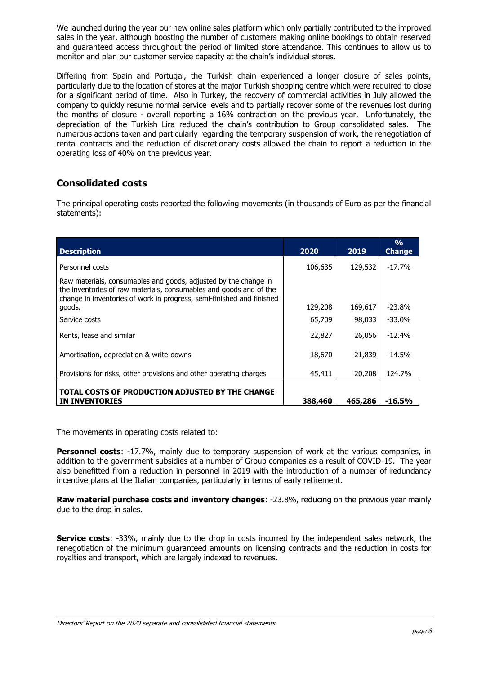We launched during the year our new online sales platform which only partially contributed to the improved sales in the year, although boosting the number of customers making online bookings to obtain reserved and guaranteed access throughout the period of limited store attendance. This continues to allow us to monitor and plan our customer service capacity at the chain's individual stores.

Differing from Spain and Portugal, the Turkish chain experienced a longer closure of sales points, particularly due to the location of stores at the major Turkish shopping centre which were required to close for a significant period of time. Also in Turkey, the recovery of commercial activities in July allowed the company to quickly resume normal service levels and to partially recover some of the revenues lost during the months of closure - overall reporting a 16% contraction on the previous year. Unfortunately, the depreciation of the Turkish Lira reduced the chain's contribution to Group consolidated sales. The numerous actions taken and particularly regarding the temporary suspension of work, the renegotiation of rental contracts and the reduction of discretionary costs allowed the chain to report a reduction in the operating loss of 40% on the previous year.

## **Consolidated costs**

The principal operating costs reported the following movements (in thousands of Euro as per the financial statements):

| <b>Description</b>                                                                                                                                                                                             | 2020    | 2019    | $\frac{0}{0}$<br><b>Change</b> |
|----------------------------------------------------------------------------------------------------------------------------------------------------------------------------------------------------------------|---------|---------|--------------------------------|
| Personnel costs                                                                                                                                                                                                | 106,635 | 129,532 | $-17.7%$                       |
| Raw materials, consumables and goods, adjusted by the change in<br>the inventories of raw materials, consumables and goods and of the<br>change in inventories of work in progress, semi-finished and finished |         |         |                                |
| goods.                                                                                                                                                                                                         | 129,208 | 169,617 | $-23.8%$                       |
| Service costs                                                                                                                                                                                                  | 65,709  | 98,033  | $-33.0\%$                      |
| Rents, lease and similar                                                                                                                                                                                       | 22,827  | 26,056  | $-12.4%$                       |
| Amortisation, depreciation & write-downs                                                                                                                                                                       | 18,670  | 21,839  | $-14.5%$                       |
| Provisions for risks, other provisions and other operating charges                                                                                                                                             | 45,411  | 20,208  | 124.7%                         |
| TOTAL COSTS OF PRODUCTION ADJUSTED BY THE CHANGE<br><b>INVENTORIES</b><br>IN.                                                                                                                                  | 388,460 | 465,286 | -16.5%                         |

The movements in operating costs related to:

**Personnel costs**: -17.7%, mainly due to temporary suspension of work at the various companies, in addition to the government subsidies at a number of Group companies as a result of COVID-19. The year also benefitted from a reduction in personnel in 2019 with the introduction of a number of redundancy incentive plans at the Italian companies, particularly in terms of early retirement.

**Raw material purchase costs and inventory changes**: -23.8%, reducing on the previous year mainly due to the drop in sales.

**Service costs**: -33%, mainly due to the drop in costs incurred by the independent sales network, the renegotiation of the minimum guaranteed amounts on licensing contracts and the reduction in costs for royalties and transport, which are largely indexed to revenues.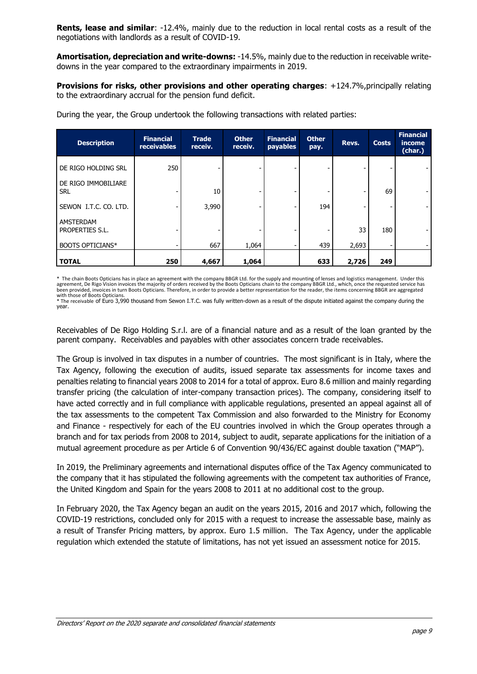**Rents, lease and similar**: -12.4%, mainly due to the reduction in local rental costs as a result of the negotiations with landlords as a result of COVID-19.

**Amortisation, depreciation and write-downs:** -14.5%, mainly due to the reduction in receivable writedowns in the year compared to the extraordinary impairments in 2019.

**Provisions for risks, other provisions and other operating charges**: +124.7%,principally relating to the extraordinary accrual for the pension fund deficit.

| <b>Description</b>                | <b>Financial</b><br>receivables | <b>Trade</b><br>receiv. | <b>Other</b><br>receiv. | <b>Financial</b><br>payables | <b>Other</b><br>pay. | Revs. | <b>Costs</b> | <b>Financial</b><br>income<br>(char.) |
|-----------------------------------|---------------------------------|-------------------------|-------------------------|------------------------------|----------------------|-------|--------------|---------------------------------------|
| DE RIGO HOLDING SRL               | 250                             |                         |                         |                              |                      |       |              |                                       |
| DE RIGO IMMOBILIARE<br><b>SRL</b> |                                 | 10                      |                         |                              |                      |       | 69           |                                       |
| SEWON I.T.C. CO. LTD.             |                                 | 3,990                   |                         |                              | 194                  |       |              |                                       |
| AMSTERDAM<br>PROPERTIES S.L.      |                                 |                         |                         |                              |                      | 33    | 180          |                                       |
| <b>BOOTS OPTICIANS*</b>           |                                 | 667                     | 1,064                   |                              | 439                  | 2,693 |              |                                       |
| <b>TOTAL</b>                      | 250                             | 4,667                   | 1,064                   |                              | 633                  | 2,726 | 249          |                                       |

During the year, the Group undertook the following transactions with related parties:

\* The chain Boots Opticians has in place an agreement with the company BBGR Ltd. for the supply and mounting of lenses and logistics management. Under this agreement, De Rigo Vision invoices the majority of orders received by the Boots Opticians chain to the company BBGR Ltd., which, once the requested service has<br>been provided, invoices in turn Boots Opticians. Therefore, in with those of Boots Opticians

\* The receivable of Euro 3,990 thousand from Sewon I.T.C. was fully written-down as a result of the dispute initiated against the company during the year.

Receivables of De Rigo Holding S.r.l. are of a financial nature and as a result of the loan granted by the parent company. Receivables and payables with other associates concern trade receivables.

The Group is involved in tax disputes in a number of countries. The most significant is in Italy, where the Tax Agency, following the execution of audits, issued separate tax assessments for income taxes and penalties relating to financial years 2008 to 2014 for a total of approx. Euro 8.6 million and mainly regarding transfer pricing (the calculation of inter-company transaction prices). The company, considering itself to have acted correctly and in full compliance with applicable regulations, presented an appeal against all of the tax assessments to the competent Tax Commission and also forwarded to the Ministry for Economy and Finance - respectively for each of the EU countries involved in which the Group operates through a branch and for tax periods from 2008 to 2014, subject to audit, separate applications for the initiation of a mutual agreement procedure as per Article 6 of Convention 90/436/EC against double taxation ("MAP").

In 2019, the Preliminary agreements and international disputes office of the Tax Agency communicated to the company that it has stipulated the following agreements with the competent tax authorities of France, the United Kingdom and Spain for the years 2008 to 2011 at no additional cost to the group.

In February 2020, the Tax Agency began an audit on the years 2015, 2016 and 2017 which, following the COVID-19 restrictions, concluded only for 2015 with a request to increase the assessable base, mainly as a result of Transfer Pricing matters, by approx. Euro 1.5 million. The Tax Agency, under the applicable regulation which extended the statute of limitations, has not yet issued an assessment notice for 2015.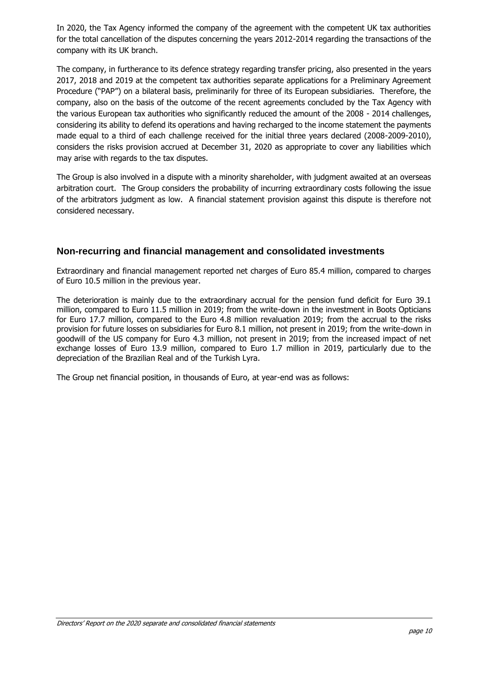In 2020, the Tax Agency informed the company of the agreement with the competent UK tax authorities for the total cancellation of the disputes concerning the years 2012-2014 regarding the transactions of the company with its UK branch.

The company, in furtherance to its defence strategy regarding transfer pricing, also presented in the years 2017, 2018 and 2019 at the competent tax authorities separate applications for a Preliminary Agreement Procedure ("PAP") on a bilateral basis, preliminarily for three of its European subsidiaries. Therefore, the company, also on the basis of the outcome of the recent agreements concluded by the Tax Agency with the various European tax authorities who significantly reduced the amount of the 2008 - 2014 challenges, considering its ability to defend its operations and having recharged to the income statement the payments made equal to a third of each challenge received for the initial three years declared (2008-2009-2010), considers the risks provision accrued at December 31, 2020 as appropriate to cover any liabilities which may arise with regards to the tax disputes.

The Group is also involved in a dispute with a minority shareholder, with judgment awaited at an overseas arbitration court. The Group considers the probability of incurring extraordinary costs following the issue of the arbitrators judgment as low. A financial statement provision against this dispute is therefore not considered necessary.

#### **Non-recurring and financial management and consolidated investments**

Extraordinary and financial management reported net charges of Euro 85.4 million, compared to charges of Euro 10.5 million in the previous year.

The deterioration is mainly due to the extraordinary accrual for the pension fund deficit for Euro 39.1 million, compared to Euro 11.5 million in 2019; from the write-down in the investment in Boots Opticians for Euro 17.7 million, compared to the Euro 4.8 million revaluation 2019; from the accrual to the risks provision for future losses on subsidiaries for Euro 8.1 million, not present in 2019; from the write-down in goodwill of the US company for Euro 4.3 million, not present in 2019; from the increased impact of net exchange losses of Euro 13.9 million, compared to Euro 1.7 million in 2019, particularly due to the depreciation of the Brazilian Real and of the Turkish Lyra.

The Group net financial position, in thousands of Euro, at year-end was as follows: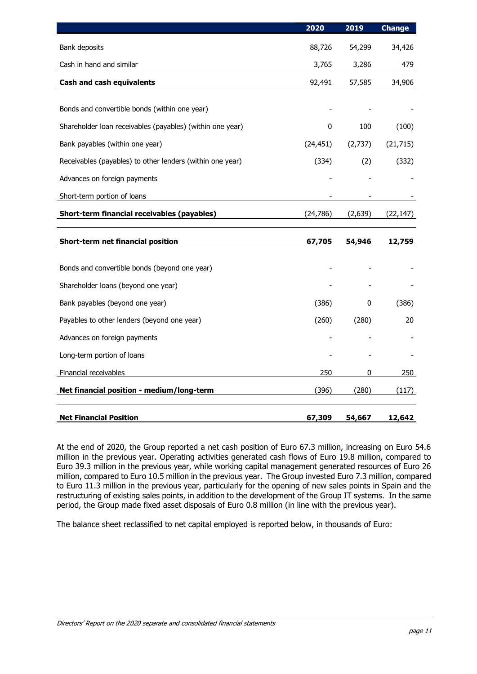|                                                           | 2020      | 2019    | <b>Change</b> |
|-----------------------------------------------------------|-----------|---------|---------------|
| Bank deposits                                             | 88,726    | 54,299  | 34,426        |
| Cash in hand and similar                                  | 3,765     | 3,286   | 479           |
| <b>Cash and cash equivalents</b>                          | 92,491    | 57,585  | 34,906        |
|                                                           |           |         |               |
| Bonds and convertible bonds (within one year)             |           |         |               |
| Shareholder loan receivables (payables) (within one year) | 0         | 100     | (100)         |
| Bank payables (within one year)                           | (24, 451) | (2,737) | (21, 715)     |
| Receivables (payables) to other lenders (within one year) | (334)     | (2)     | (332)         |
| Advances on foreign payments                              |           |         |               |
| Short-term portion of loans                               |           |         |               |
| <b>Short-term financial receivables (payables)</b>        | (24, 786) | (2,639) | (22, 147)     |
| <b>Short-term net financial position</b>                  | 67,705    | 54,946  | 12,759        |
|                                                           |           |         |               |
| Bonds and convertible bonds (beyond one year)             |           |         |               |
| Shareholder loans (beyond one year)                       |           |         |               |
| Bank payables (beyond one year)                           | (386)     | 0       | (386)         |
| Payables to other lenders (beyond one year)               | (260)     | (280)   | 20            |
| Advances on foreign payments                              |           |         |               |
| Long-term portion of loans                                |           |         |               |
| Financial receivables                                     | 250       | 0       | 250           |
| Net financial position - medium/long-term                 | (396)     | (280)   | (117)         |
| <b>Net Financial Position</b>                             | 67,309    | 54,667  | 12,642        |

At the end of 2020, the Group reported a net cash position of Euro 67.3 million, increasing on Euro 54.6 million in the previous year. Operating activities generated cash flows of Euro 19.8 million, compared to Euro 39.3 million in the previous year, while working capital management generated resources of Euro 26 million, compared to Euro 10.5 million in the previous year. The Group invested Euro 7.3 million, compared to Euro 11.3 million in the previous year, particularly for the opening of new sales points in Spain and the restructuring of existing sales points, in addition to the development of the Group IT systems. In the same period, the Group made fixed asset disposals of Euro 0.8 million (in line with the previous year).

The balance sheet reclassified to net capital employed is reported below, in thousands of Euro: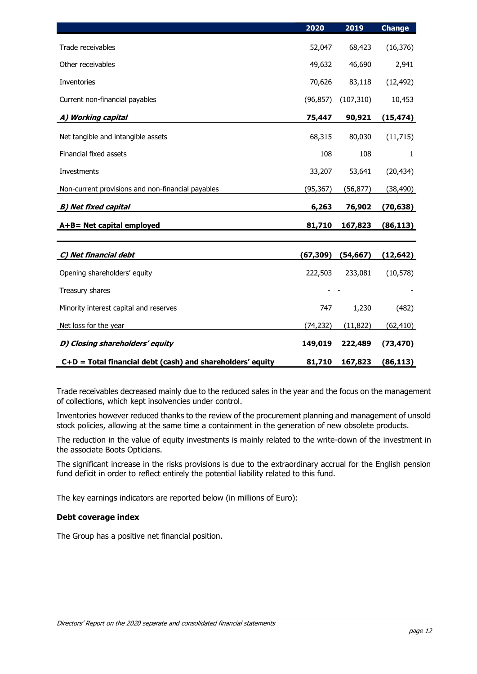|                                                            | 2020      | 2019       | <b>Change</b> |
|------------------------------------------------------------|-----------|------------|---------------|
| Trade receivables                                          | 52,047    | 68,423     | (16, 376)     |
| Other receivables                                          | 49,632    | 46,690     | 2,941         |
| Inventories                                                | 70,626    | 83,118     | (12, 492)     |
| Current non-financial payables                             | (96, 857) | (107, 310) | 10,453        |
| A) Working capital                                         | 75,447    | 90,921     | (15, 474)     |
| Net tangible and intangible assets                         | 68,315    | 80,030     | (11, 715)     |
| Financial fixed assets                                     | 108       | 108        | 1             |
| Investments                                                | 33,207    | 53,641     | (20, 434)     |
| Non-current provisions and non-financial payables          | (95, 367) | (56, 877)  | (38,490)      |
| <b>B) Net fixed capital</b>                                | 6,263     | 76,902     | (70,638)      |
| A+B= Net capital employed                                  | 81,710    | 167,823    | (86, 113)     |
|                                                            |           |            |               |
| C) Net financial debt                                      | (67, 309) | (54, 667)  | (12, 642)     |
| Opening shareholders' equity                               | 222,503   | 233,081    | (10, 578)     |
| Treasury shares                                            |           |            |               |
| Minority interest capital and reserves                     | 747       | 1,230      | (482)         |
| Net loss for the year                                      | (74, 232) | (11, 822)  | (62,410)      |
| D) Closing shareholders' equity                            | 149,019   | 222,489    | (73, 470)     |
| C+D = Total financial debt (cash) and shareholders' equity | 81,710    | 167,823    | (86, 113)     |

Trade receivables decreased mainly due to the reduced sales in the year and the focus on the management of collections, which kept insolvencies under control.

Inventories however reduced thanks to the review of the procurement planning and management of unsold stock policies, allowing at the same time a containment in the generation of new obsolete products.

The reduction in the value of equity investments is mainly related to the write-down of the investment in the associate Boots Opticians.

The significant increase in the risks provisions is due to the extraordinary accrual for the English pension fund deficit in order to reflect entirely the potential liability related to this fund.

The key earnings indicators are reported below (in millions of Euro):

#### **Debt coverage index**

The Group has a positive net financial position.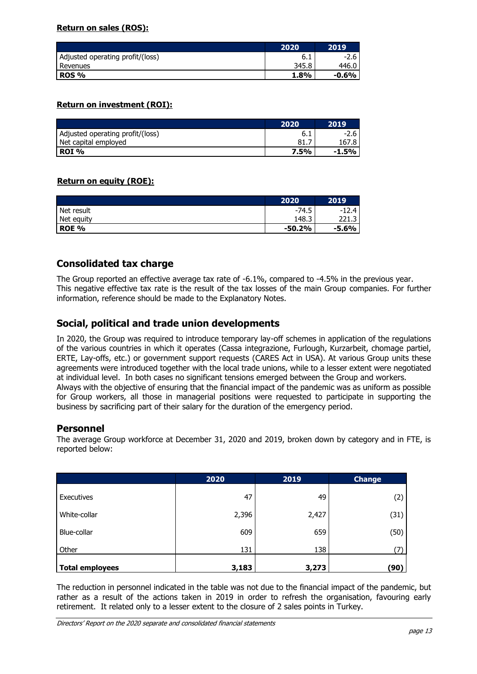#### **Return on sales (ROS):**

|                                  | 2020  | 2019    |
|----------------------------------|-------|---------|
| Adjusted operating profit/(loss) | b. I  | $-2.6$  |
| Revenues                         | 345.8 | 446.U   |
| <b>ROS %</b>                     | 1.8%  | $-0.6%$ |

#### **Return on investment (ROI):**

|                                  | 2020 | 2019    |
|----------------------------------|------|---------|
| Adjusted operating profit/(loss) | b.1  | $-2.6$  |
| Net capital employed             | 81.7 | 167.8 I |
| ROI %                            | 7.5% | -1.5%   |

#### **Return on equity (ROE):**

|            | 2020     | 2019    |
|------------|----------|---------|
| Net result | $-74.5$  | -1      |
| Net equity | 148.3    |         |
| ROE %      | $-50.2%$ | $-5.6%$ |

#### **Consolidated tax charge**

The Group reported an effective average tax rate of -6.1%, compared to -4.5% in the previous year. This negative effective tax rate is the result of the tax losses of the main Group companies. For further information, reference should be made to the Explanatory Notes.

#### **Social, political and trade union developments**

In 2020, the Group was required to introduce temporary lay-off schemes in application of the regulations of the various countries in which it operates (Cassa integrazione, Furlough, Kurzarbeit, chomage partiel, ERTE, Lay-offs, etc.) or government support requests (CARES Act in USA). At various Group units these agreements were introduced together with the local trade unions, while to a lesser extent were negotiated at individual level. In both cases no significant tensions emerged between the Group and workers. Always with the objective of ensuring that the financial impact of the pandemic was as uniform as possible for Group workers, all those in managerial positions were requested to participate in supporting the business by sacrificing part of their salary for the duration of the emergency period.

#### **Personnel**

The average Group workforce at December 31, 2020 and 2019, broken down by category and in FTE, is reported below:

|                        | 2020  | 2019  | <b>Change</b> |
|------------------------|-------|-------|---------------|
| Executives             | 47    | 49    | (2)           |
| White-collar           | 2,396 | 2,427 | (31)          |
| Blue-collar            | 609   | 659   | (50)          |
| Other                  | 131   | 138   |               |
| <b>Total employees</b> | 3,183 | 3,273 | (90)          |

The reduction in personnel indicated in the table was not due to the financial impact of the pandemic, but rather as a result of the actions taken in 2019 in order to refresh the organisation, favouring early retirement. It related only to a lesser extent to the closure of 2 sales points in Turkey.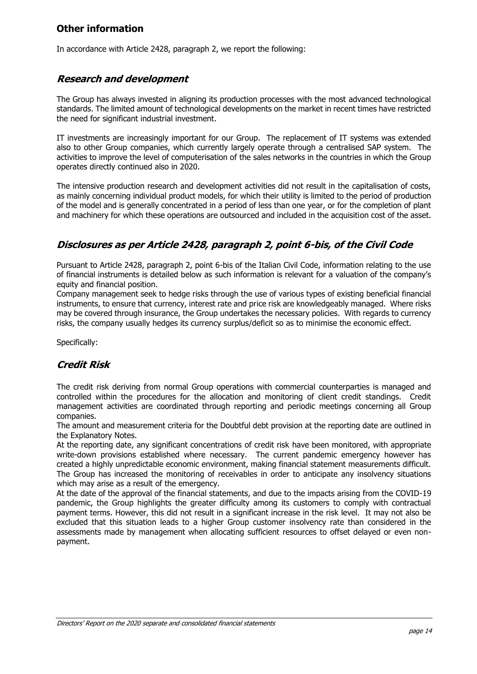## **Other information**

In accordance with Article 2428, paragraph 2, we report the following:

## **Research and development**

The Group has always invested in aligning its production processes with the most advanced technological standards. The limited amount of technological developments on the market in recent times have restricted the need for significant industrial investment.

IT investments are increasingly important for our Group. The replacement of IT systems was extended also to other Group companies, which currently largely operate through a centralised SAP system. The activities to improve the level of computerisation of the sales networks in the countries in which the Group operates directly continued also in 2020.

The intensive production research and development activities did not result in the capitalisation of costs, as mainly concerning individual product models, for which their utility is limited to the period of production of the model and is generally concentrated in a period of less than one year, or for the completion of plant and machinery for which these operations are outsourced and included in the acquisition cost of the asset.

## **Disclosures as per Article 2428, paragraph 2, point 6-bis, of the Civil Code**

Pursuant to Article 2428, paragraph 2, point 6-bis of the Italian Civil Code, information relating to the use of financial instruments is detailed below as such information is relevant for a valuation of the company's equity and financial position.

Company management seek to hedge risks through the use of various types of existing beneficial financial instruments, to ensure that currency, interest rate and price risk are knowledgeably managed. Where risks may be covered through insurance, the Group undertakes the necessary policies. With regards to currency risks, the company usually hedges its currency surplus/deficit so as to minimise the economic effect.

Specifically:

## **Credit Risk**

The credit risk deriving from normal Group operations with commercial counterparties is managed and controlled within the procedures for the allocation and monitoring of client credit standings. Credit management activities are coordinated through reporting and periodic meetings concerning all Group companies.

The amount and measurement criteria for the Doubtful debt provision at the reporting date are outlined in the Explanatory Notes.

At the reporting date, any significant concentrations of credit risk have been monitored, with appropriate write-down provisions established where necessary. The current pandemic emergency however has created a highly unpredictable economic environment, making financial statement measurements difficult. The Group has increased the monitoring of receivables in order to anticipate any insolvency situations which may arise as a result of the emergency.

At the date of the approval of the financial statements, and due to the impacts arising from the COVID-19 pandemic, the Group highlights the greater difficulty among its customers to comply with contractual payment terms. However, this did not result in a significant increase in the risk level. It may not also be excluded that this situation leads to a higher Group customer insolvency rate than considered in the assessments made by management when allocating sufficient resources to offset delayed or even nonpayment.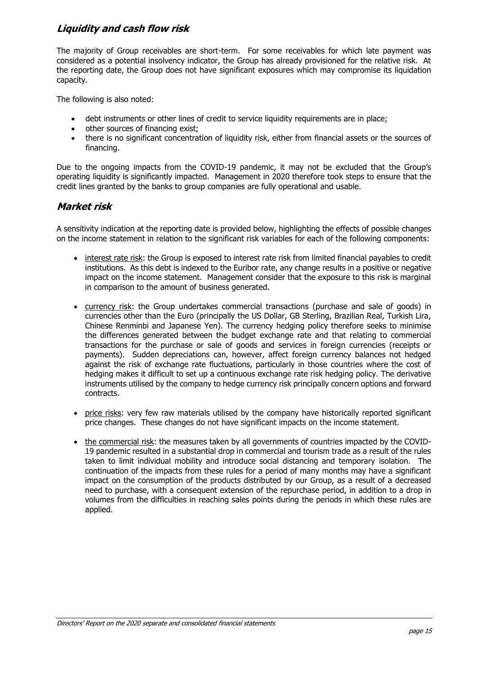## **Liquidity and cash flow risk**

The majority of Group receivables are short-term. For some receivables for which late payment was considered as a potential insolvency indicator, the Group has already provisioned for the relative risk. At the reporting date, the Group does not have significant exposures which may compromise its liquidation capacity.

The following is also noted:

- debt instruments or other lines of credit to service liquidity requirements are in place;
- other sources of financing exist;
- there is no significant concentration of liquidity risk, either from financial assets or the sources of financing.

Due to the ongoing impacts from the COVID-19 pandemic, it may not be excluded that the Group's operating liquidity is significantly impacted. Management in 2020 therefore took steps to ensure that the credit lines granted by the banks to group companies are fully operational and usable.

### **Market risk**

A sensitivity indication at the reporting date is provided below, highlighting the effects of possible changes on the income statement in relation to the significant risk variables for each of the following components:

- interest rate risk: the Group is exposed to interest rate risk from limited financial payables to credit institutions. As this debt is indexed to the Euribor rate, any change results in a positive or negative impact on the income statement. Management consider that the exposure to this risk is marginal in comparison to the amount of business generated.
- currency risk: the Group undertakes commercial transactions (purchase and sale of goods) in currencies other than the Euro (principally the US Dollar, GB Sterling, Brazilian Real, Turkish Lira, Chinese Renminbi and Japanese Yen). The currency hedging policy therefore seeks to minimise the differences generated between the budget exchange rate and that relating to commercial transactions for the purchase or sale of goods and services in foreign currencies (receipts or payments). Sudden depreciations can, however, affect foreign currency balances not hedged against the risk of exchange rate fluctuations, particularly in those countries where the cost of hedging makes it difficult to set up a continuous exchange rate risk hedging policy. The derivative instruments utilised by the company to hedge currency risk principally concern options and forward contracts.
- price risks: very few raw materials utilised by the company have historically reported significant price changes. These changes do not have significant impacts on the income statement.
- the commercial risk: the measures taken by all governments of countries impacted by the COVID-19 pandemic resulted in a substantial drop in commercial and tourism trade as a result of the rules taken to limit individual mobility and introduce social distancing and temporary isolation. The continuation of the impacts from these rules for a period of many months may have a significant impact on the consumption of the products distributed by our Group, as a result of a decreased need to purchase, with a consequent extension of the repurchase period, in addition to a drop in volumes from the difficulties in reaching sales points during the periods in which these rules are applied.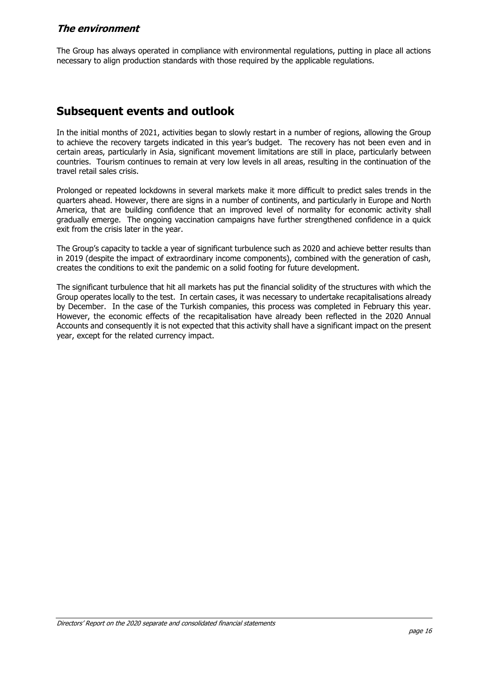#### **The environment**

The Group has always operated in compliance with environmental regulations, putting in place all actions necessary to align production standards with those required by the applicable regulations.

# **Subsequent events and outlook**

In the initial months of 2021, activities began to slowly restart in a number of regions, allowing the Group to achieve the recovery targets indicated in this year's budget. The recovery has not been even and in certain areas, particularly in Asia, significant movement limitations are still in place, particularly between countries. Tourism continues to remain at very low levels in all areas, resulting in the continuation of the travel retail sales crisis.

Prolonged or repeated lockdowns in several markets make it more difficult to predict sales trends in the quarters ahead. However, there are signs in a number of continents, and particularly in Europe and North America, that are building confidence that an improved level of normality for economic activity shall gradually emerge. The ongoing vaccination campaigns have further strengthened confidence in a quick exit from the crisis later in the year.

The Group's capacity to tackle a year of significant turbulence such as 2020 and achieve better results than in 2019 (despite the impact of extraordinary income components), combined with the generation of cash, creates the conditions to exit the pandemic on a solid footing for future development.

The significant turbulence that hit all markets has put the financial solidity of the structures with which the Group operates locally to the test. In certain cases, it was necessary to undertake recapitalisations already by December. In the case of the Turkish companies, this process was completed in February this year. However, the economic effects of the recapitalisation have already been reflected in the 2020 Annual Accounts and consequently it is not expected that this activity shall have a significant impact on the present year, except for the related currency impact.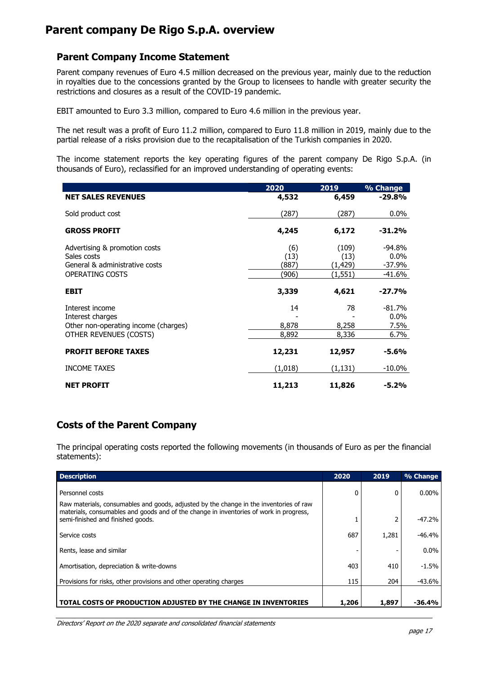# **Parent company De Rigo S.p.A. overview**

### **Parent Company Income Statement**

Parent company revenues of Euro 4.5 million decreased on the previous year, mainly due to the reduction in royalties due to the concessions granted by the Group to licensees to handle with greater security the restrictions and closures as a result of the COVID-19 pandemic.

EBIT amounted to Euro 3.3 million, compared to Euro 4.6 million in the previous year.

The net result was a profit of Euro 11.2 million, compared to Euro 11.8 million in 2019, mainly due to the partial release of a risks provision due to the recapitalisation of the Turkish companies in 2020.

The income statement reports the key operating figures of the parent company De Rigo S.p.A. (in thousands of Euro), reclassified for an improved understanding of operating events:

|                                                                                                          | 2020                          | 2019                                  | % Change                                |
|----------------------------------------------------------------------------------------------------------|-------------------------------|---------------------------------------|-----------------------------------------|
| <b>NET SALES REVENUES</b>                                                                                | 4,532                         | 6,459                                 | $-29.8%$                                |
| Sold product cost                                                                                        | (287)                         | (287)                                 | $0.0\%$                                 |
| <b>GROSS PROFIT</b>                                                                                      | 4,245                         | 6,172                                 | $-31.2%$                                |
| Advertising & promotion costs<br>Sales costs<br>General & administrative costs<br><b>OPERATING COSTS</b> | (6)<br>(13)<br>(887)<br>(906) | (109)<br>(13)<br>(1, 429)<br>(1, 551) | -94.8%<br>$0.0\%$<br>-37.9%<br>$-41.6%$ |
| <b>EBIT</b>                                                                                              | 3,339                         | 4,621                                 | $-27.7%$                                |
| Interest income<br>Interest charges<br>Other non-operating income (charges)<br>OTHER REVENUES (COSTS)    | 14<br>8,878<br>8,892          | 78<br>8,258<br>8,336                  | $-81.7%$<br>$0.0\%$<br>7.5%<br>6.7%     |
| <b>PROFIT BEFORE TAXES</b>                                                                               | 12,231                        | 12,957                                | $-5.6%$                                 |
| <b>INCOME TAXES</b>                                                                                      | (1,018)                       | (1, 131)                              | $-10.0\%$                               |
| <b>NET PROFIT</b>                                                                                        | 11,213                        | 11,826                                | $-5.2%$                                 |

## **Costs of the Parent Company**

The principal operating costs reported the following movements (in thousands of Euro as per the financial statements):

| <b>Description</b>                                                                                                                                                                                                    | 2020  | 2019  | % Change |
|-----------------------------------------------------------------------------------------------------------------------------------------------------------------------------------------------------------------------|-------|-------|----------|
| Personnel costs                                                                                                                                                                                                       | 0     | 0     | $0.00\%$ |
| Raw materials, consumables and goods, adjusted by the change in the inventories of raw<br>materials, consumables and goods and of the change in inventories of work in progress,<br>semi-finished and finished goods. |       |       | $-47.2%$ |
| Service costs                                                                                                                                                                                                         | 687   | 1,281 | $-46.4%$ |
| Rents, lease and similar                                                                                                                                                                                              | -     |       | $0.0\%$  |
| Amortisation, depreciation & write-downs                                                                                                                                                                              | 403   | 410   | $-1.5%$  |
| Provisions for risks, other provisions and other operating charges                                                                                                                                                    | 115   | 204   | $-43.6%$ |
|                                                                                                                                                                                                                       |       |       |          |
| TOTAL COSTS OF PRODUCTION ADJUSTED BY THE CHANGE IN INVENTORIES                                                                                                                                                       | 1,206 | 1,897 | -36.4%   |

Directors' Report on the 2020 separate and consolidated financial statements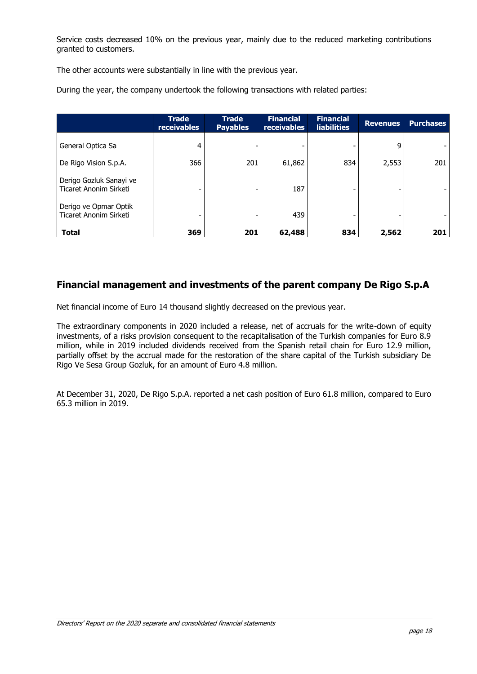Service costs decreased 10% on the previous year, mainly due to the reduced marketing contributions granted to customers.

The other accounts were substantially in line with the previous year.

During the year, the company undertook the following transactions with related parties:

|                                                   | <b>Trade</b><br>receivables | <b>Trade</b><br><b>Payables</b> | <b>Financial</b><br>receivables | <b>Financial</b><br><b>liabilities</b> | <b>Revenues</b> | <b>Purchases</b> |
|---------------------------------------------------|-----------------------------|---------------------------------|---------------------------------|----------------------------------------|-----------------|------------------|
| General Optica Sa                                 | 4                           |                                 |                                 |                                        | 9               |                  |
| De Rigo Vision S.p.A.                             | 366                         | 201                             | 61,862                          | 834                                    | 2,553           | 201              |
| Derigo Gozluk Sanayi ve<br>Ticaret Anonim Sirketi |                             |                                 | 187                             |                                        |                 |                  |
| Derigo ve Opmar Optik<br>Ticaret Anonim Sirketi   |                             |                                 | 439                             |                                        |                 |                  |
| <b>Total</b>                                      | 369                         | 201                             | 62,488                          | 834                                    | 2,562           | 201              |

### **Financial management and investments of the parent company De Rigo S.p.A**

Net financial income of Euro 14 thousand slightly decreased on the previous year.

The extraordinary components in 2020 included a release, net of accruals for the write-down of equity investments, of a risks provision consequent to the recapitalisation of the Turkish companies for Euro 8.9 million, while in 2019 included dividends received from the Spanish retail chain for Euro 12.9 million, partially offset by the accrual made for the restoration of the share capital of the Turkish subsidiary De Rigo Ve Sesa Group Gozluk, for an amount of Euro 4.8 million.

At December 31, 2020, De Rigo S.p.A. reported a net cash position of Euro 61.8 million, compared to Euro 65.3 million in 2019.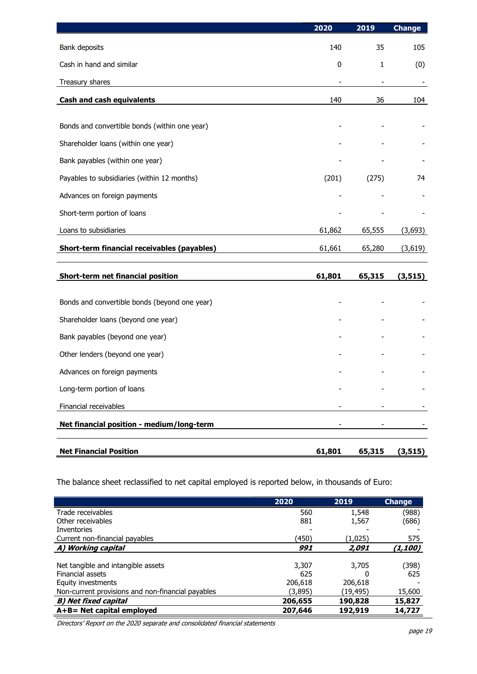|                                               | 2020      | 2019                     | <b>Change</b>            |
|-----------------------------------------------|-----------|--------------------------|--------------------------|
| Bank deposits                                 | 140       | 35                       | 105                      |
| Cash in hand and similar                      | $\pmb{0}$ | $\mathbf{1}$             | (0)                      |
| Treasury shares                               |           | $\overline{\phantom{a}}$ | $\overline{\phantom{a}}$ |
| <b>Cash and cash equivalents</b>              | 140       | 36                       | 104                      |
|                                               |           |                          |                          |
| Bonds and convertible bonds (within one year) |           |                          |                          |
| Shareholder loans (within one year)           |           |                          |                          |
| Bank payables (within one year)               |           |                          |                          |
| Payables to subsidiaries (within 12 months)   | (201)     | (275)                    | 74                       |
| Advances on foreign payments                  |           |                          |                          |
| Short-term portion of loans                   |           |                          |                          |
| Loans to subsidiaries                         | 61,862    | 65,555                   | (3,693)                  |
| Short-term financial receivables (payables)   | 61,661    | 65,280                   | (3,619)                  |
| Short-term net financial position             | 61,801    | 65,315                   | (3, 515)                 |
|                                               |           |                          |                          |
| Bonds and convertible bonds (beyond one year) |           |                          |                          |
| Shareholder loans (beyond one year)           |           |                          |                          |
| Bank payables (beyond one year)               |           |                          |                          |
| Other lenders (beyond one year)               |           |                          |                          |
| Advances on foreign payments                  |           |                          |                          |
| Long-term portion of loans                    |           |                          |                          |
| Financial receivables                         |           |                          |                          |
| Net financial position - medium/long-term     |           |                          |                          |
| <b>Net Financial Position</b>                 | 61,801    | 65,315                   | (3, 515)                 |

The balance sheet reclassified to net capital employed is reported below, in thousands of Euro:

|                                                   | 2020    | 2019     | <b>Change</b> |
|---------------------------------------------------|---------|----------|---------------|
| Trade receivables                                 | 560     | 1,548    | (988)         |
| Other receivables                                 | 881     | 1,567    | (686)         |
| Inventories                                       |         |          |               |
| Current non-financial payables                    | (450)   | (1,025)  | 575           |
| A) Working capital                                | 991     | 2.091    | (1,100)       |
| Net tangible and intangible assets                | 3,307   | 3,705    | (398)         |
| <b>Financial assets</b>                           | 625     | n        | 625           |
| Equity investments                                | 206,618 | 206,618  |               |
| Non-current provisions and non-financial payables | (3,895) | (19,495) | 15,600        |
| B) Net fixed capital                              | 206,655 | 190,828  | 15,827        |
| $A + B = Net capital employed$                    | 207,646 | 192,919  | 14,727        |

Directors' Report on the 2020 separate and consolidated financial statements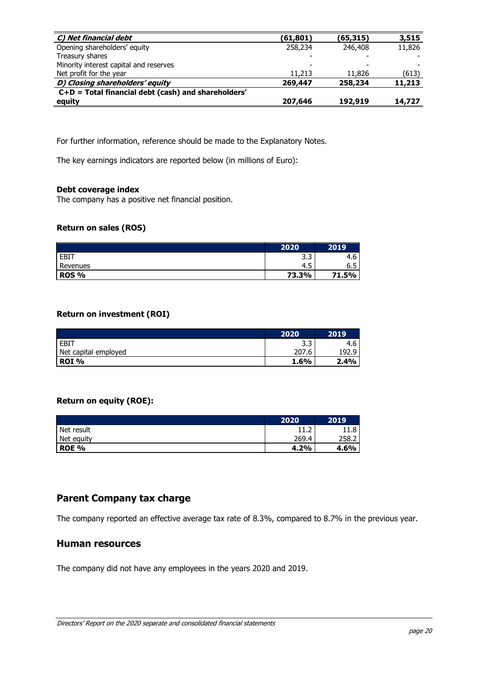| C) Net financial debt                                 | (61,801) | (65, 315) | 3,515  |
|-------------------------------------------------------|----------|-----------|--------|
| Opening shareholders' equity                          | 258,234  | 246,408   | 11,826 |
| Treasury shares                                       |          |           |        |
| Minority interest capital and reserves                |          |           |        |
| Net profit for the year                               | 11,213   | 11,826    | (613)  |
| D) Closing shareholders' equity                       | 269,447  | 258,234   | 11,213 |
| $C+D$ = Total financial debt (cash) and shareholders' |          |           |        |
| equity                                                | 207,646  | 192,919   | 14,727 |

For further information, reference should be made to the Explanatory Notes.

The key earnings indicators are reported below (in millions of Euro):

#### **Debt coverage index**

The company has a positive net financial position.

#### **Return on sales (ROS)**

|              | 2020          | 2019                            |
|--------------|---------------|---------------------------------|
| EBIT         | ∍<br>∽<br>ر.ر | 4.6                             |
| Revenues     | Б<br>4.5      | $\overline{\phantom{0}}$<br>6.5 |
| <b>ROS %</b> | 73.3%         | 71.5%                           |

#### **Return on investment (ROI)**

|                      | 2020  | 2019      |
|----------------------|-------|-----------|
| $E$ BIT              | ر.ر   | 4.O       |
| Net capital employed | 207.6 | 1 Qʻ<br>q |
| ROI%                 | 1.6%  | 2.4%      |

#### **Return on equity (ROE):**

|            | 2020      | 2019  |
|------------|-----------|-------|
| Net result | ∽<br>⊥⊥.∠ | 11.8  |
| Net equity | 269.4     | 258.2 |
| ROE %      | 4.2%      | 4.6%  |

# **Parent Company tax charge**

The company reported an effective average tax rate of 8.3%, compared to 8.7% in the previous year.

#### **Human resources**

The company did not have any employees in the years 2020 and 2019.